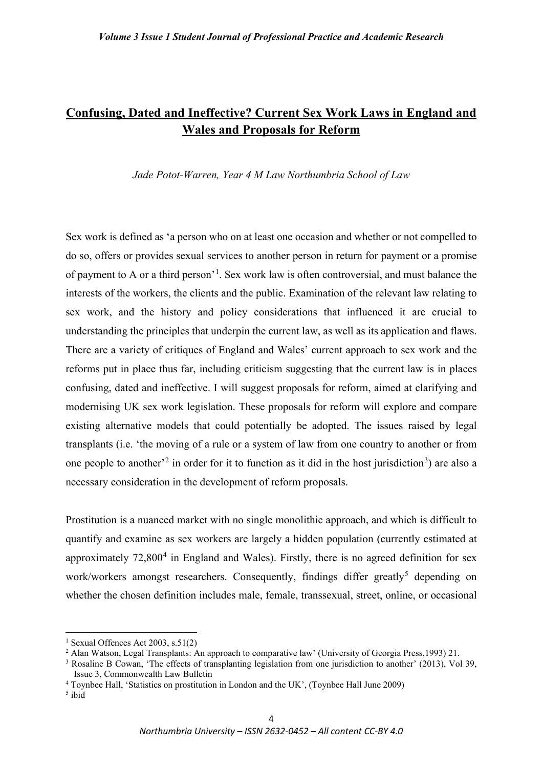# **Confusing, Dated and Ineffective? Current Sex Work Laws in England and Wales and Proposals for Reform**

*Jade Potot-Warren, Year 4 M Law Northumbria School of Law* 

Sex work is defined as 'a person who on at least one occasion and whether or not compelled to do so, offers or provides sexual services to another person in return for payment or a promise of payment to A or a third person'<sup>[1](#page-0-0)</sup>. Sex work law is often controversial, and must balance the interests of the workers, the clients and the public. Examination of the relevant law relating to sex work, and the history and policy considerations that influenced it are crucial to understanding the principles that underpin the current law, as well as its application and flaws. There are a variety of critiques of England and Wales' current approach to sex work and the reforms put in place thus far, including criticism suggesting that the current law is in places confusing, dated and ineffective. I will suggest proposals for reform, aimed at clarifying and modernising UK sex work legislation. These proposals for reform will explore and compare existing alternative models that could potentially be adopted. The issues raised by legal transplants (i.e. 'the moving of a rule or a system of law from one country to another or from one people to another<sup>[2](#page-0-1)</sup> in order for it to function as it did in the host jurisdiction<sup>[3](#page-0-2)</sup>) are also a necessary consideration in the development of reform proposals.

Prostitution is a nuanced market with no single monolithic approach, and which is difficult to quantify and examine as sex workers are largely a hidden population (currently estimated at approximately  $72,800^4$  $72,800^4$  in England and Wales). Firstly, there is no agreed definition for sex work/workers amongst researchers. Consequently, findings differ greatly<sup>[5](#page-0-4)</sup> depending on whether the chosen definition includes male, female, transsexual, street, online, or occasional

<span id="page-0-0"></span><sup>&</sup>lt;sup>1</sup> Sexual Offences Act 2003, s.51(2)

<span id="page-0-1"></span><sup>&</sup>lt;sup>2</sup> Alan Watson, Legal Transplants: An approach to comparative law' (University of Georgia Press, 1993) 21.

<span id="page-0-2"></span><sup>&</sup>lt;sup>3</sup> Rosaline B Cowan, 'The effects of transplanting legislation from one jurisdiction to another' (2013), Vol 39, Issue 3, Commonwealth Law Bulletin

<span id="page-0-3"></span><sup>4</sup> Toynbee Hall, 'Statistics on prostitution in London and the UK', (Toynbee Hall June 2009)

<span id="page-0-4"></span> $5$  ibid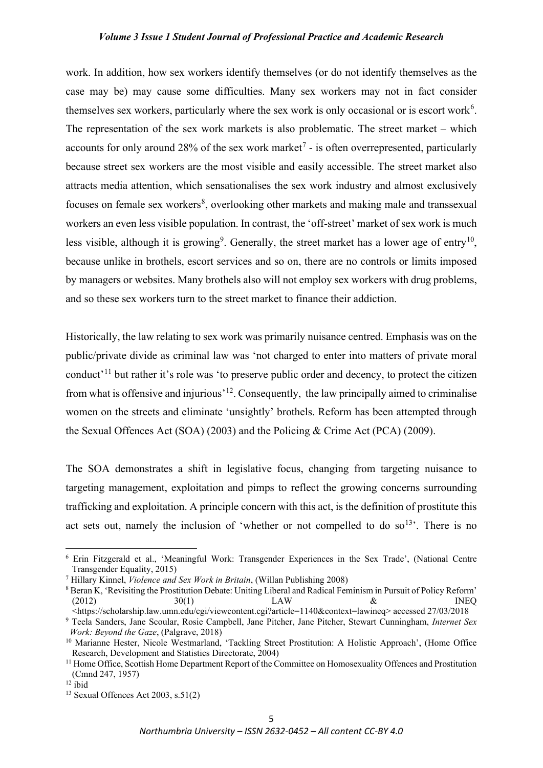work. In addition, how sex workers identify themselves (or do not identify themselves as the case may be) may cause some difficulties. Many sex workers may not in fact consider themselves sex workers, particularly where the sex work is only occasional or is escort work<sup>[6](#page-1-0)</sup>. The representation of the sex work markets is also problematic. The street market – which accounts for only around 28% of the sex work market<sup>[7](#page-1-1)</sup> - is often overrepresented, particularly because street sex workers are the most visible and easily accessible. The street market also attracts media attention, which sensationalises the sex work industry and almost exclusively focuses on female sex workers<sup>[8](#page-1-2)</sup>, overlooking other markets and making male and transsexual workers an even less visible population. In contrast, the 'off-street' market of sex work is much less visible, although it is growing<sup>[9](#page-1-3)</sup>. Generally, the street market has a lower age of entry<sup>[10](#page-1-4)</sup>, because unlike in brothels, escort services and so on, there are no controls or limits imposed by managers or websites. Many brothels also will not employ sex workers with drug problems, and so these sex workers turn to the street market to finance their addiction.

Historically, the law relating to sex work was primarily nuisance centred. Emphasis was on the public/private divide as criminal law was 'not charged to enter into matters of private moral conduct'<sup>[11](#page-1-5)</sup> but rather it's role was 'to preserve public order and decency, to protect the citizen from what is offensive and injurious'[12.](#page-1-6) Consequently, the law principally aimed to criminalise women on the streets and eliminate 'unsightly' brothels. Reform has been attempted through the Sexual Offences Act (SOA) (2003) and the Policing & Crime Act (PCA) (2009).

The SOA demonstrates a shift in legislative focus, changing from targeting nuisance to targeting management, exploitation and pimps to reflect the growing concerns surrounding trafficking and exploitation. A principle concern with this act, is the definition of prostitute this act sets out, namely the inclusion of 'whether or not compelled to do so<sup>[13](#page-1-7)</sup>. There is no

<span id="page-1-0"></span><sup>6</sup> Erin Fitzgerald et al., 'Meaningful Work: Transgender Experiences in the Sex Trade', (National Centre Transgender Equality, 2015)

<span id="page-1-1"></span><sup>7</sup> Hillary Kinnel, *Violence and Sex Work in Britain*, (Willan Publishing 2008)

<span id="page-1-2"></span><sup>8</sup> Beran K, 'Revisiting the Prostitution Debate: Uniting Liberal and Radical Feminism in Pursuit of Policy Reform' (2012)  $30(1)$  LAW  $\&$  INEQ <https://scholarship.law.umn.edu/cgi/viewcontent.cgi?article=1140&context=lawineq> accessed 27/03/2018

<span id="page-1-3"></span><sup>9</sup> Teela Sanders, Jane Scoular, Rosie Campbell, Jane Pitcher, Jane Pitcher, Stewart Cunningham, *Internet Sex Work: Beyond the Gaze*, (Palgrave, 2018)

<span id="page-1-4"></span><sup>&</sup>lt;sup>10</sup> Marianne Hester, Nicole Westmarland, 'Tackling Street Prostitution: A Holistic Approach', (Home Office Research, Development and Statistics Directorate, 2004)

<span id="page-1-5"></span><sup>&</sup>lt;sup>11</sup> Home Office, Scottish Home Department Report of the Committee on Homosexuality Offences and Prostitution (Cmnd 247, 1957)

<span id="page-1-6"></span> $12$  ibid

<span id="page-1-7"></span> $13$  Sexual Offences Act 2003, s.51(2)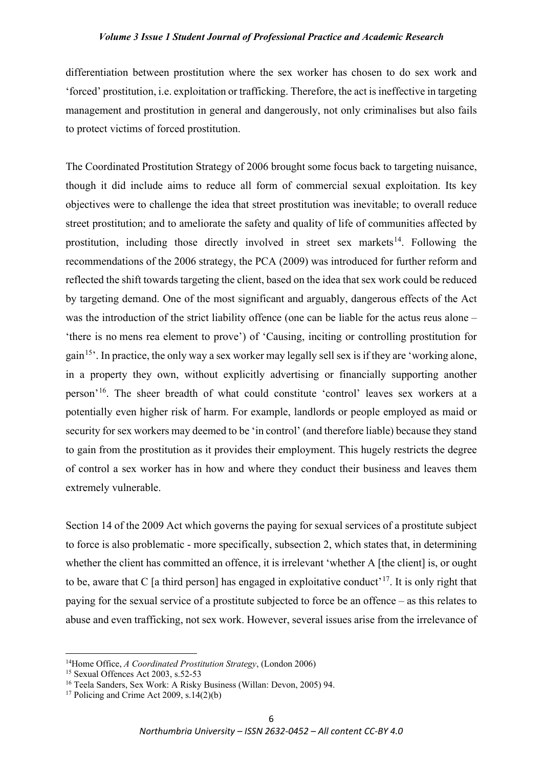differentiation between prostitution where the sex worker has chosen to do sex work and 'forced' prostitution, i.e. exploitation or trafficking. Therefore, the act is ineffective in targeting management and prostitution in general and dangerously, not only criminalises but also fails to protect victims of forced prostitution.

The Coordinated Prostitution Strategy of 2006 brought some focus back to targeting nuisance, though it did include aims to reduce all form of commercial sexual exploitation. Its key objectives were to challenge the idea that street prostitution was inevitable; to overall reduce street prostitution; and to ameliorate the safety and quality of life of communities affected by prostitution, including those directly involved in street sex markets<sup>[14](#page-2-0)</sup>. Following the recommendations of the 2006 strategy, the PCA (2009) was introduced for further reform and reflected the shift towards targeting the client, based on the idea that sex work could be reduced by targeting demand. One of the most significant and arguably, dangerous effects of the Act was the introduction of the strict liability offence (one can be liable for the actus reus alone – 'there is no mens rea element to prove') of 'Causing, inciting or controlling prostitution for gain<sup>[15](#page-2-1)</sup>. In practice, the only way a sex worker may legally sell sex is if they are 'working alone, in a property they own, without explicitly advertising or financially supporting another person'[16.](#page-2-2) The sheer breadth of what could constitute 'control' leaves sex workers at a potentially even higher risk of harm. For example, landlords or people employed as maid or security for sex workers may deemed to be 'in control' (and therefore liable) because they stand to gain from the prostitution as it provides their employment. This hugely restricts the degree of control a sex worker has in how and where they conduct their business and leaves them extremely vulnerable.

Section 14 of the 2009 Act which governs the paying for sexual services of a prostitute subject to force is also problematic - more specifically, subsection 2, which states that, in determining whether the client has committed an offence, it is irrelevant 'whether A [the client] is, or ought to be, aware that C [a third person] has engaged in exploitative conduct<sup> $17$ </sup>. It is only right that paying for the sexual service of a prostitute subjected to force be an offence – as this relates to abuse and even trafficking, not sex work. However, several issues arise from the irrelevance of

<span id="page-2-1"></span><span id="page-2-0"></span><sup>&</sup>lt;sup>14</sup>Home Office, *A Coordinated Prostitution Strategy*, (London 2006)<sup>15</sup> Sexual Offences Act 2003, s.52-53

<span id="page-2-2"></span><sup>16</sup> Teela Sanders, Sex Work: A Risky Business (Willan: Devon, 2005) 94.

<span id="page-2-3"></span><sup>&</sup>lt;sup>17</sup> Policing and Crime Act 2009, s.14(2)(b)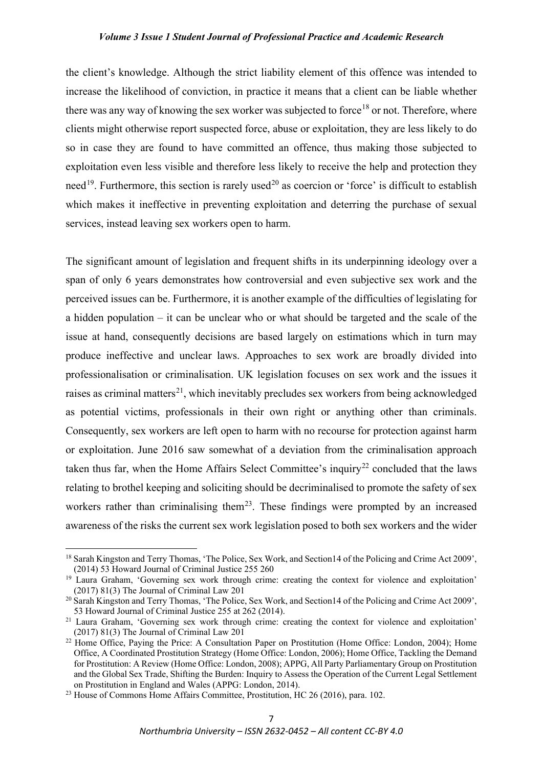the client's knowledge. Although the strict liability element of this offence was intended to increase the likelihood of conviction, in practice it means that a client can be liable whether there was any way of knowing the sex worker was subjected to force<sup>[18](#page-3-0)</sup> or not. Therefore, where clients might otherwise report suspected force, abuse or exploitation, they are less likely to do so in case they are found to have committed an offence, thus making those subjected to exploitation even less visible and therefore less likely to receive the help and protection they need<sup>[19](#page-3-1)</sup>. Furthermore, this section is rarely used<sup>[20](#page-3-2)</sup> as coercion or 'force' is difficult to establish which makes it ineffective in preventing exploitation and deterring the purchase of sexual services, instead leaving sex workers open to harm.

The significant amount of legislation and frequent shifts in its underpinning ideology over a span of only 6 years demonstrates how controversial and even subjective sex work and the perceived issues can be. Furthermore, it is another example of the difficulties of legislating for a hidden population – it can be unclear who or what should be targeted and the scale of the issue at hand, consequently decisions are based largely on estimations which in turn may produce ineffective and unclear laws. Approaches to sex work are broadly divided into professionalisation or criminalisation. UK legislation focuses on sex work and the issues it raises as criminal matters<sup>[21](#page-3-3)</sup>, which inevitably precludes sex workers from being acknowledged as potential victims, professionals in their own right or anything other than criminals. Consequently, sex workers are left open to harm with no recourse for protection against harm or exploitation. June 2016 saw somewhat of a deviation from the criminalisation approach taken thus far, when the Home Affairs Select Committee's inquiry<sup>[22](#page-3-4)</sup> concluded that the laws relating to brothel keeping and soliciting should be decriminalised to promote the safety of sex workers rather than criminalising them<sup>23</sup>. These findings were prompted by an increased awareness of the risks the current sex work legislation posed to both sex workers and the wider

<span id="page-3-0"></span><sup>18</sup> Sarah Kingston and Terry Thomas, 'The Police, Sex Work, and Section14 of the Policing and Crime Act 2009', (2014) 53 Howard Journal of Criminal Justice 255 260  $19$  Laura Graham, 'Governing sex work through crime: creating the context for violence and exploitation'

<span id="page-3-1"></span><sup>(2017)</sup> 81(3) The Journal of Criminal Law 201

<span id="page-3-2"></span><sup>&</sup>lt;sup>20</sup> Sarah Kingston and Terry Thomas, 'The Police, Sex Work, and Section14 of the Policing and Crime Act 2009', 53 Howard Journal of Criminal Justice 255 at 262 (2014).

<span id="page-3-3"></span><sup>&</sup>lt;sup>21</sup> Laura Graham, 'Governing sex work through crime: creating the context for violence and exploitation' (2017) 81(3) The Journal of Criminal Law 201

<span id="page-3-4"></span><sup>&</sup>lt;sup>22</sup> Home Office, Paying the Price: A Consultation Paper on Prostitution (Home Office: London, 2004); Home Office, A Coordinated Prostitution Strategy (Home Office: London, 2006); Home Office, Tackling the Demand for Prostitution: A Review (Home Office: London, 2008); APPG, All Party Parliamentary Group on Prostitution and the Global Sex Trade, Shifting the Burden: Inquiry to Assess the Operation of the Current Legal Settlement on Prostitution in England and Wales (APPG: London, 2014).

<span id="page-3-5"></span><sup>&</sup>lt;sup>23</sup> House of Commons Home Affairs Committee, Prostitution, HC 26 (2016), para. 102.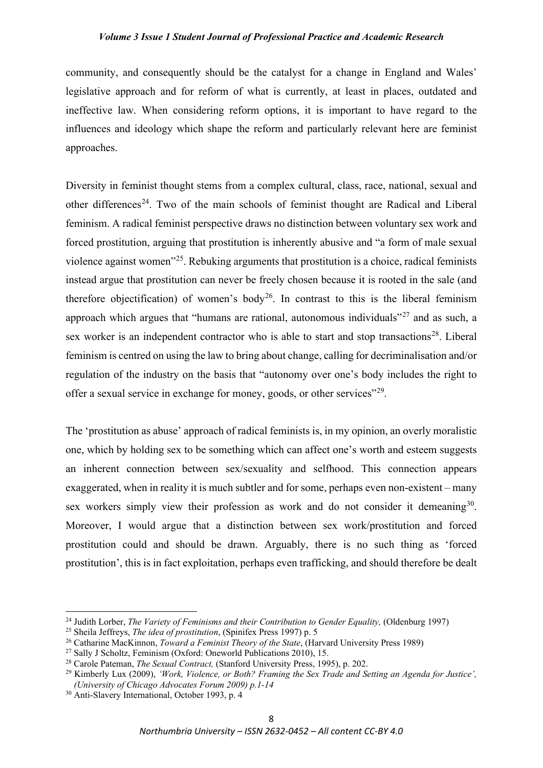community, and consequently should be the catalyst for a change in England and Wales' legislative approach and for reform of what is currently, at least in places, outdated and ineffective law. When considering reform options, it is important to have regard to the influences and ideology which shape the reform and particularly relevant here are feminist approaches.

Diversity in feminist thought stems from a complex cultural, class, race, national, sexual and other differences<sup>24</sup>. Two of the main schools of feminist thought are Radical and Liberal feminism. A radical feminist perspective draws no distinction between voluntary sex work and forced prostitution, arguing that prostitution is inherently abusive and "a form of male sexual violence against women"[25](#page-4-1). Rebuking arguments that prostitution is a choice, radical feminists instead argue that prostitution can never be freely chosen because it is rooted in the sale (and therefore objectification) of women's body<sup>[26](#page-4-2)</sup>. In contrast to this is the liberal feminism approach which argues that "humans are rational, autonomous individuals"<sup>[27](#page-4-3)</sup> and as such, a sex worker is an independent contractor who is able to start and stop transactions<sup>28</sup>. Liberal feminism is centred on using the law to bring about change, calling for decriminalisation and/or regulation of the industry on the basis that "autonomy over one's body includes the right to offer a sexual service in exchange for money, goods, or other services"<sup>[29](#page-4-5)</sup>.

The 'prostitution as abuse' approach of radical feminists is, in my opinion, an overly moralistic one, which by holding sex to be something which can affect one's worth and esteem suggests an inherent connection between sex/sexuality and selfhood. This connection appears exaggerated, when in reality it is much subtler and for some, perhaps even non-existent – many sex workers simply view their profession as work and do not consider it demeaning<sup>[30](#page-4-6)</sup>. Moreover, I would argue that a distinction between sex work/prostitution and forced prostitution could and should be drawn. Arguably, there is no such thing as 'forced prostitution', this is in fact exploitation, perhaps even trafficking, and should therefore be dealt

<span id="page-4-0"></span><sup>24</sup> Judith Lorber, *The Variety of Feminisms and their Contribution to Gender Equality,* (Oldenburg 1997)

<span id="page-4-1"></span><sup>25</sup> Sheila Jeffreys, *The idea of prostitution*, (Spinifex Press 1997) p. 5

<span id="page-4-2"></span><sup>26</sup> Catharine MacKinnon, *Toward a Feminist Theory of the State*, (Harvard University Press 1989)

<span id="page-4-3"></span><sup>27</sup> Sally J Scholtz, Feminism (Oxford: Oneworld Publications 2010), 15.

<span id="page-4-4"></span><sup>28</sup> Carole Pateman, *The Sexual Contract,* (Stanford University Press, 1995), p. 202.

<span id="page-4-5"></span><sup>29</sup> Kimberly Lux (2009), *'Work, Violence, or Both? Framing the Sex Trade and Setting an Agenda for Justice', (University of Chicago Advocates Forum 2009) p.1-14*

<span id="page-4-6"></span><sup>30</sup> Anti-Slavery International, October 1993, p. 4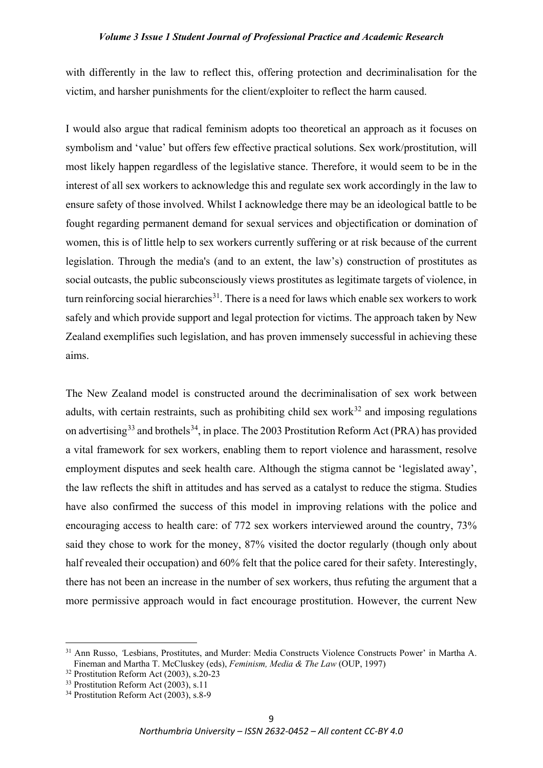with differently in the law to reflect this, offering protection and decriminalisation for the victim, and harsher punishments for the client/exploiter to reflect the harm caused.

I would also argue that radical feminism adopts too theoretical an approach as it focuses on symbolism and 'value' but offers few effective practical solutions. Sex work/prostitution, will most likely happen regardless of the legislative stance. Therefore, it would seem to be in the interest of all sex workers to acknowledge this and regulate sex work accordingly in the law to ensure safety of those involved. Whilst I acknowledge there may be an ideological battle to be fought regarding permanent demand for sexual services and objectification or domination of women, this is of little help to sex workers currently suffering or at risk because of the current legislation. Through the media's (and to an extent, the law's) construction of prostitutes as social outcasts, the public subconsciously views prostitutes as legitimate targets of violence, in turn reinforcing social hierarchies<sup>[31](#page-5-0)</sup>. There is a need for laws which enable sex workers to work safely and which provide support and legal protection for victims. The approach taken by New Zealand exemplifies such legislation, and has proven immensely successful in achieving these aims.

The New Zealand model is constructed around the decriminalisation of sex work between adults, with certain restraints, such as prohibiting child sex work<sup>[32](#page-5-1)</sup> and imposing regulations on advertising<sup>[33](#page-5-2)</sup> and brothels<sup>[34](#page-5-3)</sup>, in place. The 2003 Prostitution Reform Act (PRA) has provided a vital framework for sex workers, enabling them to report violence and harassment, resolve employment disputes and seek health care. Although the stigma cannot be 'legislated away', the law reflects the shift in attitudes and has served as a catalyst to reduce the stigma. Studies have also confirmed the success of this model in improving relations with the police and encouraging access to health care: of 772 sex workers interviewed around the country, 73% said they chose to work for the money, 87% visited the doctor regularly (though only about half revealed their occupation) and 60% felt that the police cared for their safety. Interestingly, there has not been an increase in the number of sex workers, thus refuting the argument that a more permissive approach would in fact encourage prostitution. However, the current New

<span id="page-5-0"></span><sup>&</sup>lt;sup>31</sup> Ann Russo, *'Lesbians*, Prostitutes, and Murder: Media Constructs Violence Constructs Power' in Martha A. Fineman and Martha T. McCluskey (eds), *Feminism, Media & The Law* (OUP, 1997)

<span id="page-5-1"></span><sup>32</sup> Prostitution Reform Act (2003), s.20-23

<span id="page-5-2"></span> $33$  Prostitution Reform Act (2003), s.11

<span id="page-5-3"></span><sup>&</sup>lt;sup>34</sup> Prostitution Reform Act (2003), s.8-9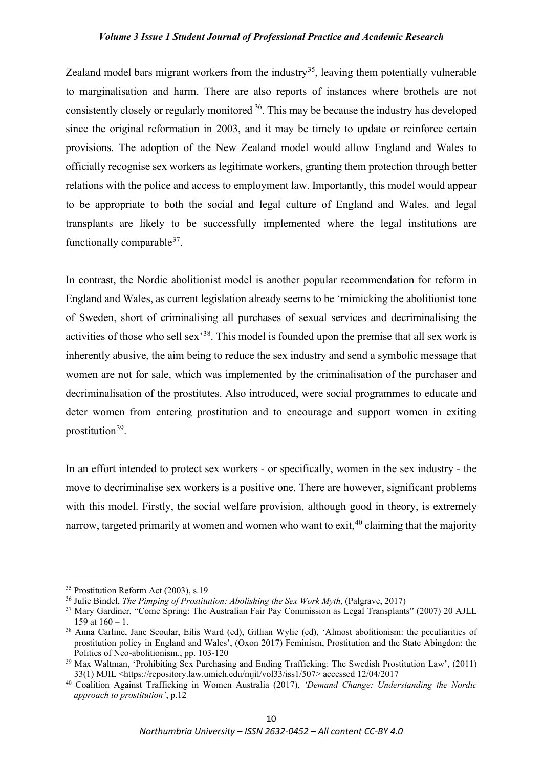Zealand model bars migrant workers from the industry<sup>35</sup>, leaving them potentially vulnerable to marginalisation and harm. There are also reports of instances where brothels are not consistently closely or regularly monitored [36](#page-6-1). This may be because the industry has developed since the original reformation in 2003, and it may be timely to update or reinforce certain provisions. The adoption of the New Zealand model would allow England and Wales to officially recognise sex workers as legitimate workers, granting them protection through better relations with the police and access to employment law. Importantly, this model would appear to be appropriate to both the social and legal culture of England and Wales, and legal transplants are likely to be successfully implemented where the legal institutions are functionally comparable $37$ .

In contrast, the Nordic abolitionist model is another popular recommendation for reform in England and Wales, as current legislation already seems to be 'mimicking the abolitionist tone of Sweden, short of criminalising all purchases of sexual services and decriminalising the activities of those who sell sex'[38](#page-6-3). This model is founded upon the premise that all sex work is inherently abusive, the aim being to reduce the sex industry and send a symbolic message that women are not for sale, which was implemented by the criminalisation of the purchaser and decriminalisation of the prostitutes. Also introduced, were social programmes to educate and deter women from entering prostitution and to encourage and support women in exiting prostitution<sup>39</sup>.

In an effort intended to protect sex workers - or specifically, women in the sex industry - the move to decriminalise sex workers is a positive one. There are however, significant problems with this model. Firstly, the social welfare provision, although good in theory, is extremely narrow, targeted primarily at women and women who want to exit, <sup>[40](#page-6-5)</sup> claiming that the majority

<span id="page-6-0"></span><sup>&</sup>lt;sup>35</sup> Prostitution Reform Act (2003), s.19

<span id="page-6-1"></span><sup>36</sup> Julie Bindel, *The Pimping of Prostitution: Abolishing the Sex Work Myth*, (Palgrave, 2017)

<span id="page-6-2"></span><sup>&</sup>lt;sup>37</sup> Mary Gardiner, "Come Spring: The Australian Fair Pay Commission as Legal Transplants" (2007) 20 AJLL 159 at  $160 - 1$ .

<span id="page-6-3"></span><sup>38</sup> Anna Carline, Jane Scoular, Eilis Ward (ed), Gillian Wylie (ed), 'Almost abolitionism: the peculiarities of prostitution policy in England and Wales', (Oxon 2017) Feminism, Prostitution and the State Abingdon: the Politics of Neo-abolitionism., pp. 103-120

<span id="page-6-4"></span><sup>&</sup>lt;sup>39</sup> Max Waltman, 'Prohibiting Sex Purchasing and Ending Trafficking: The Swedish Prostitution Law', (2011) 33(1) MJIL <https://repository.law.umich.edu/mjil/vol33/iss1/507> accessed 12/04/2017

<span id="page-6-5"></span><sup>40</sup> Coalition Against Trafficking in Women Australia (2017), *'Demand Change: Understanding the Nordic approach to prostitution'*, p.12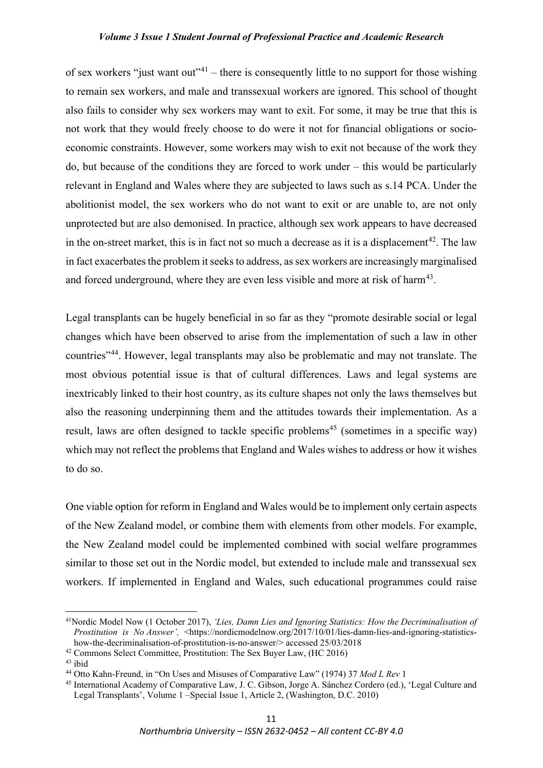of sex workers "just want out"<sup>[41](#page-7-0)</sup> – there is consequently little to no support for those wishing to remain sex workers, and male and transsexual workers are ignored. This school of thought also fails to consider why sex workers may want to exit. For some, it may be true that this is not work that they would freely choose to do were it not for financial obligations or socioeconomic constraints. However, some workers may wish to exit not because of the work they do, but because of the conditions they are forced to work under – this would be particularly relevant in England and Wales where they are subjected to laws such as s.14 PCA. Under the abolitionist model, the sex workers who do not want to exit or are unable to, are not only unprotected but are also demonised. In practice, although sex work appears to have decreased in the on-street market, this is in fact not so much a decrease as it is a displacement<sup>[42](#page-7-1)</sup>. The law in fact exacerbates the problem it seeks to address, as sex workers are increasingly marginalised and forced underground, where they are even less visible and more at risk of harm<sup>[43](#page-7-2)</sup>.

Legal transplants can be hugely beneficial in so far as they "promote desirable social or legal changes which have been observed to arise from the implementation of such a law in other countries"[44.](#page-7-3) However, legal transplants may also be problematic and may not translate. The most obvious potential issue is that of cultural differences. Laws and legal systems are inextricably linked to their host country, as its culture shapes not only the laws themselves but also the reasoning underpinning them and the attitudes towards their implementation. As a result, laws are often designed to tackle specific problems<sup>[45](#page-7-4)</sup> (sometimes in a specific way) which may not reflect the problems that England and Wales wishes to address or how it wishes to do so.

One viable option for reform in England and Wales would be to implement only certain aspects of the New Zealand model, or combine them with elements from other models. For example, the New Zealand model could be implemented combined with social welfare programmes similar to those set out in the Nordic model, but extended to include male and transsexual sex workers. If implemented in England and Wales, such educational programmes could raise

<span id="page-7-0"></span><sup>41</sup>Nordic Model Now (1 October 2017), *'Lies, Damn Lies and Ignoring Statistics: How the Decriminalisation of Prostitution is No Answer',* <https://nordicmodelnow.org/2017/10/01/lies-damn-lies-and-ignoring-statisticshow-the-decriminalisation-of-prostitution-is-no-answer/> accessed 25/03/2018

<span id="page-7-1"></span><sup>42</sup> Commons Select Committee, Prostitution: The Sex Buyer Law, (HC 2016)

<span id="page-7-2"></span><sup>&</sup>lt;sup>43</sup> ibid<br><sup>44</sup> Otto Kahn-Freund, in "On Uses and Misuses of Comparative Law" (1974) 37 *Mod L Rev* 1

<span id="page-7-4"></span><span id="page-7-3"></span><sup>&</sup>lt;sup>45</sup> International Academy of Comparative Law, J. C. Gibson, Jorge A. Sánchez Cordero (ed.), 'Legal Culture and Legal Transplants', Volume 1 –Special Issue 1, Article 2, (Washington, D.C. 2010)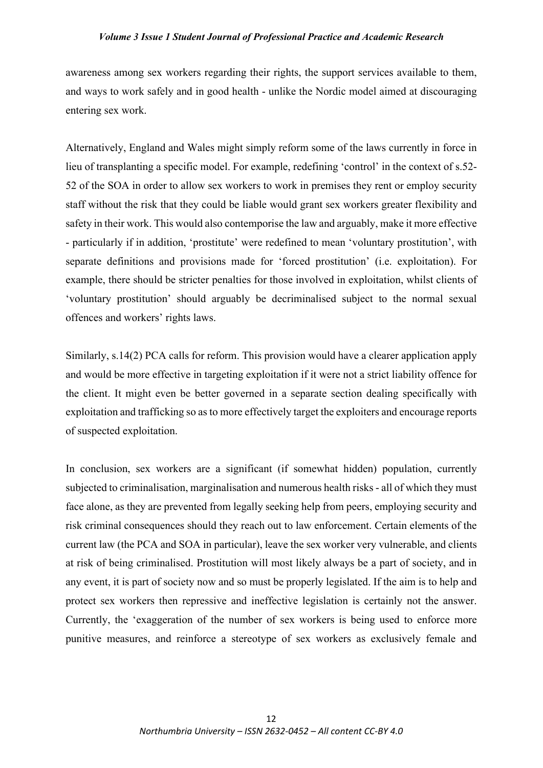awareness among sex workers regarding their rights, the support services available to them, and ways to work safely and in good health - unlike the Nordic model aimed at discouraging entering sex work.

Alternatively, England and Wales might simply reform some of the laws currently in force in lieu of transplanting a specific model. For example, redefining 'control' in the context of s.52- 52 of the SOA in order to allow sex workers to work in premises they rent or employ security staff without the risk that they could be liable would grant sex workers greater flexibility and safety in their work. This would also contemporise the law and arguably, make it more effective - particularly if in addition, 'prostitute' were redefined to mean 'voluntary prostitution', with separate definitions and provisions made for 'forced prostitution' (i.e. exploitation). For example, there should be stricter penalties for those involved in exploitation, whilst clients of 'voluntary prostitution' should arguably be decriminalised subject to the normal sexual offences and workers' rights laws.

Similarly, s.14(2) PCA calls for reform. This provision would have a clearer application apply and would be more effective in targeting exploitation if it were not a strict liability offence for the client. It might even be better governed in a separate section dealing specifically with exploitation and trafficking so as to more effectively target the exploiters and encourage reports of suspected exploitation.

In conclusion, sex workers are a significant (if somewhat hidden) population, currently subjected to criminalisation, marginalisation and numerous health risks - all of which they must face alone, as they are prevented from legally seeking help from peers, employing security and risk criminal consequences should they reach out to law enforcement. Certain elements of the current law (the PCA and SOA in particular), leave the sex worker very vulnerable, and clients at risk of being criminalised. Prostitution will most likely always be a part of society, and in any event, it is part of society now and so must be properly legislated. If the aim is to help and protect sex workers then repressive and ineffective legislation is certainly not the answer. Currently, the 'exaggeration of the number of sex workers is being used to enforce more punitive measures, and reinforce a stereotype of sex workers as exclusively female and